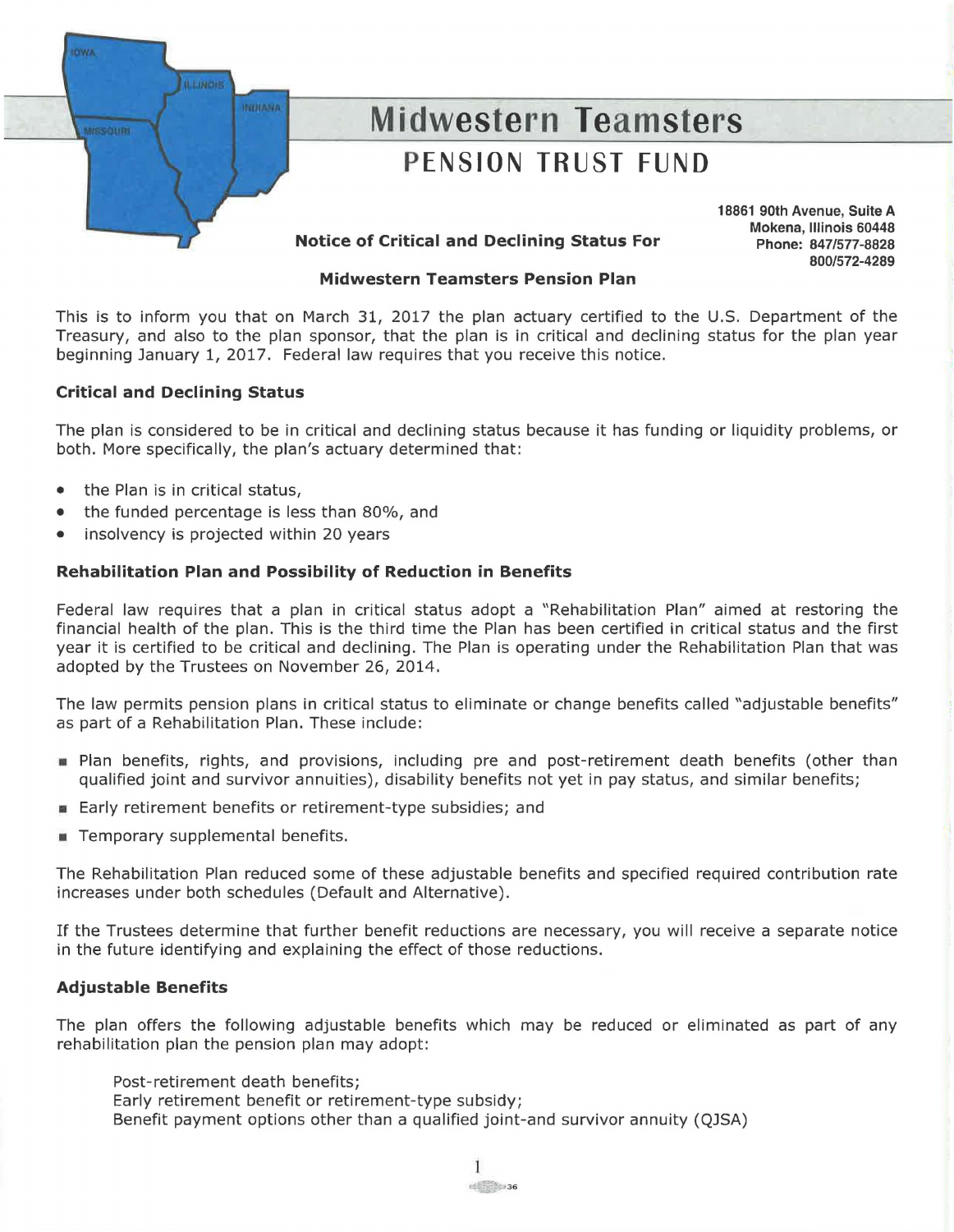

# **Midwestern Teamsters Pension Plan**

This is to inform you that on March 31, 2017 the plan actuary certified to the U.S. Department of the Treasury, and also to the plan sponsor, that the plan is in critical and declining status for the plan year beginning January 1, 2017. Federal law requires that you receive this notice.

# **Critical and Declining Status**

The plan is considered to be in critical and declining status because it has funding or liquidity problems, or both. More specifically, the plan's actuary determined that:

- the Plan is in critical status,
- the funded percentage is less than 80%, and
- insolvency is projected within 20 years

# **Rehabilitation Plan and Possibility of Reduction in Benefits**

Federal law requires that a plan in critical status adopt a "Rehabilitation Plan" aimed at restoring the financial health of the plan. This is the third time the Plan has been certified in critical status and the first year it is certified to be critical and declining. The Plan is operating under the Rehabilitation Plan that was adopted by the Trustees on November 26, 2014.

The law permits pension plans in critical status to eliminate or change benefits called "adjustable benefits" as part of a Rehabilitation Plan. These include:

- Plan benefits, rights, and provisions, including pre and post-retirement death benefits (other than qualified joint and survivor annuities), disability benefits not yet in pay status, and similar benefits;
- Early retirement benefits or retirement-type subsidies; and
- **FR** Temporary supplemental benefits.

The Rehabilitation Plan reduced some of these adjustable benefits and specified required contribution rate increases under both schedules (Default and Alternative).

If the Trustees determine that further benefit reductions are necessary, you will receive a separate notice in the future identifying and explaining the effect of those reductions.

# **Adjustable Benefits**

The plan offers the following adjustable benefits which may be reduced or eliminated as part of any rehabilitation plan the pension plan may adopt:

- Post-retirement death benefits;
- Early retirement benefit or retirement-type subsidy;
- Benefit payment options other than a qualified joint-and survivor annuity (QJSA)